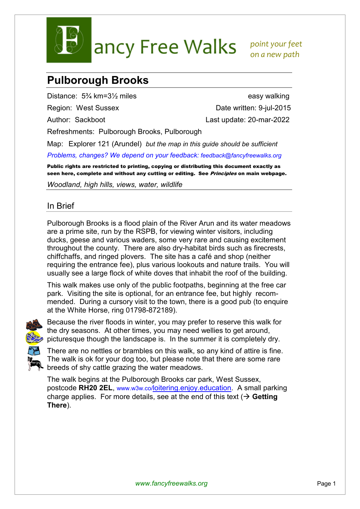

ancy Free Walks point your feet

 *on a new path* 

## **Pulborough Brooks**

Distance:  $5\frac{3}{4}$  km=3<sup>1</sup>/<sub>2</sub> miles easy walking

Region: West Sussex Date written: 9-jul-2015 Author: Sackboot Last update: 20-mar-2022

Refreshments: Pulborough Brooks, Pulborough

Map: Explorer 121 (Arundel) *but the map in this guide should be sufficient*

*Problems, changes? We depend on your feedback: feedback@fancyfreewalks.org*

Public rights are restricted to printing, copying or distributing this document exactly as seen here, complete and without any cutting or editing. See *Principles* on main webpage.

*Woodland, high hills, views, water, wildlife* 

## In Brief

Pulborough Brooks is a flood plain of the River Arun and its water meadows are a prime site, run by the RSPB, for viewing winter visitors, including ducks, geese and various waders, some very rare and causing excitement throughout the county. There are also dry-habitat birds such as firecrests, chiffchaffs, and ringed plovers. The site has a café and shop (neither requiring the entrance fee), plus various lookouts and nature trails. You will usually see a large flock of white doves that inhabit the roof of the building.

This walk makes use only of the public footpaths, beginning at the free car park. Visiting the site is optional, for an entrance fee, but highly recommended. During a cursory visit to the town, there is a good pub (to enquire at the White Horse, ring 01798-872189).



Because the river floods in winter, you may prefer to reserve this walk for the dry seasons. At other times, you may need wellies to get around, picturesque though the landscape is. In the summer it is completely dry.



There are no nettles or brambles on this walk, so any kind of attire is fine. The walk is ok for your dog too, but please note that there are some rare breeds of shy cattle grazing the water meadows.

The walk begins at the Pulborough Brooks car park, West Sussex, postcode **RH20 2EL**, www.w3w.co/loitering.enjoy.education. A small parking charge applies. For more details, see at the end of this text  $(\rightarrow$  Getting **There**).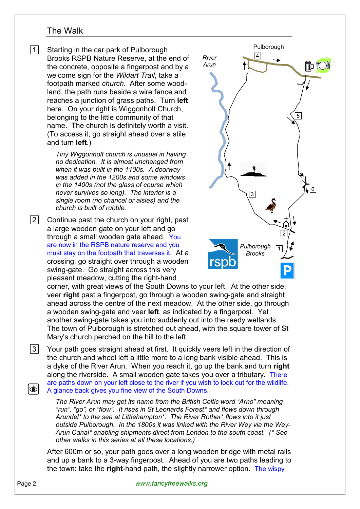## The Walk

|1| Starting in the car park of Pulborough Brooks RSPB Nature Reserve, at the end of the concrete, opposite a fingerpost and by a welcome sign for the *Wildart Trail*, take a footpath marked *church*. After some woodland, the path runs beside a wire fence and reaches a junction of grass paths. Turn **left** here. On your right is Wiggonholt Church, belonging to the little community of that name. The church is definitely worth a visit. (To access it, go straight ahead over a stile and turn **left**.)

> *Tiny Wiggonholt church is unusual in having no dedication. It is almost unchanged from when it was built in the 1100s. A doorway was added in the 1200s and some windows in the 1400s (not the glass of course which never survives so long). The interior is a single room (no chancel or aisles) and the church is built of rubble.*

 $|2|$  Continue past the church on your right, past a large wooden gate on your left and go through a small wooden gate ahead. You are now in the RSPB nature reserve and you must stay on the footpath that traverses it. At a crossing, go straight over through a wooden swing-gate. Go straight across this very pleasant meadow, cutting the right-hand



corner, with great views of the South Downs to your left. At the other side, veer **right** past a fingerpost, go through a wooden swing-gate and straight ahead across the centre of the next meadow. At the other side, go through a wooden swing-gate and veer **left**, as indicated by a fingerpost. Yet another swing-gate takes you into suddenly out into the reedy wetlands. The town of Pulborough is stretched out ahead, with the square tower of St Mary's church perched on the hill to the left.

 3 Your path goes straight ahead at first. It quickly veers left in the direction of the church and wheel left a little more to a long bank visible ahead. This is a dyke of the River Arun. When you reach it, go up the bank and turn **right** along the riverside. A small wooden gate takes you over a tributary. There are paths down on your left close to the river if you wish to look out for the wildlife. ۱۶ A glance back gives you fine view of the South Downs.

*The River Arun may get its name from the British Celtic word "Arno" meaning "run", "go", or "flow". It rises in St Leonards Forest\* and flows down through Arundel\* to the sea at Littlehampton\*. The River Rother\* flows into it just outside Pulborough. In the 1800s it was linked with the River Wey via the Wey-Arun Canal\* enabling shipments direct from London to the south coast. (\* See other walks in this series at all these locations.)*

After 600m or so, your path goes over a long wooden bridge with metal rails and up a bank to a 3-way fingerpost. Ahead of you are two paths leading to the town: take the **right**-hand path, the slightly narrower option. The wispy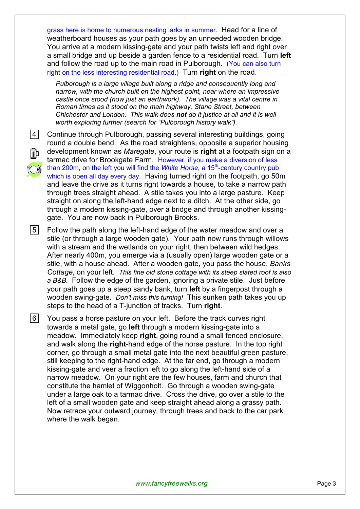grass here is home to numerous nesting larks in summer. Head for a line of weatherboard houses as your path goes by an unneeded wooden bridge. You arrive at a modern kissing-gate and your path twists left and right over a small bridge and up beside a garden fence to a residential road. Turn **left** and follow the road up to the main road in Pulborough. (You can also turn right on the less interesting residential road.) Turn **right** on the road.

*Pulborough is a large village built along a ridge and consequently long and narrow, with the church built on the highest point, near where an impressive castle once stood (now just an earthwork). The village was a vital centre in Roman times as it stood on the main highway, Stane Street, between Chichester and London. This walk does not do it justice at all and it is well worth exploring further (search for "Pulborough history walk").* 

- 
- mЪ

 4 Continue through Pulborough, passing several interesting buildings, going round a double bend. As the road straightens, opposite a superior housing development known as *Maregate*, your route is **right** at a footpath sign on a tarmac drive for Brookgate Farm. However, if you make a diversion of less than 200m, on the left you will find the *White Horse*, a 15<sup>th</sup>-century country pub which is open all day every day. Having turned right on the footpath, go 50m and leave the drive as it turns right towards a house, to take a narrow path through trees straight ahead. A stile takes you into a large pasture. Keep straight on along the left-hand edge next to a ditch. At the other side, go through a modern kissing-gate, over a bridge and through another kissinggate. You are now back in Pulborough Brooks.

 $\vert 5 \vert$  Follow the path along the left-hand edge of the water meadow and over a stile (or through a large wooden gate). Your path now runs through willows with a stream and the wetlands on your right, then between wild hedges. After nearly 400m, you emerge via a (usually open) large wooden gate or a stile, with a house ahead. After a wooden gate, you pass the house, *Banks Cottage*, on your left. *This fine old stone cottage with its steep slated roof is also a B&B.* Follow the edge of the garden, ignoring a private stile. Just before your path goes up a steep sandy bank, turn **left** by a fingerpost through a wooden swing-gate. *Don't miss this turning!* This sunken path takes you up steps to the head of a T-junction of tracks. Turn **right**.

 $|6|$  You pass a horse pasture on your left. Before the track curves right towards a metal gate, go **left** through a modern kissing-gate into a meadow. Immediately keep **right**, going round a small fenced enclosure, and walk along the **right**-hand edge of the horse pasture. In the top right corner, go through a small metal gate into the next beautiful green pasture, still keeping to the right-hand edge. At the far end, go through a modern kissing-gate and veer a fraction left to go along the left-hand side of a narrow meadow. On your right are the few houses, farm and church that constitute the hamlet of Wiggonholt. Go through a wooden swing-gate under a large oak to a tarmac drive. Cross the drive, go over a stile to the left of a small wooden gate and keep straight ahead along a grassy path. Now retrace your outward journey, through trees and back to the car park where the walk began.